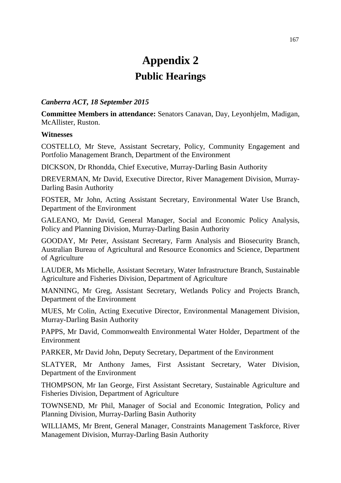# **Appendix 2 Public Hearings**

## *Canberra ACT, 18 September 2015*

**Committee Members in attendance:** Senators Canavan, Day, Leyonhjelm, Madigan, McAllister, Ruston.

## **Witnesses**

COSTELLO, Mr Steve, Assistant Secretary, Policy, Community Engagement and Portfolio Management Branch, Department of the Environment

DICKSON, Dr Rhondda, Chief Executive, Murray-Darling Basin Authority

DREVERMAN, Mr David, Executive Director, River Management Division, Murray-Darling Basin Authority

FOSTER, Mr John, Acting Assistant Secretary, Environmental Water Use Branch, Department of the Environment

GALEANO, Mr David, General Manager, Social and Economic Policy Analysis, Policy and Planning Division, Murray-Darling Basin Authority

GOODAY, Mr Peter, Assistant Secretary, Farm Analysis and Biosecurity Branch, Australian Bureau of Agricultural and Resource Economics and Science, Department of Agriculture

LAUDER, Ms Michelle, Assistant Secretary, Water Infrastructure Branch, Sustainable Agriculture and Fisheries Division, Department of Agriculture

MANNING, Mr Greg, Assistant Secretary, Wetlands Policy and Projects Branch, Department of the Environment

MUES, Mr Colin, Acting Executive Director, Environmental Management Division, Murray-Darling Basin Authority

PAPPS, Mr David, Commonwealth Environmental Water Holder, Department of the Environment

PARKER, Mr David John, Deputy Secretary, Department of the Environment

SLATYER, Mr Anthony James, First Assistant Secretary, Water Division, Department of the Environment

THOMPSON, Mr Ian George, First Assistant Secretary, Sustainable Agriculture and Fisheries Division, Department of Agriculture

TOWNSEND, Mr Phil, Manager of Social and Economic Integration, Policy and Planning Division, Murray-Darling Basin Authority

WILLIAMS, Mr Brent, General Manager, Constraints Management Taskforce, River Management Division, Murray-Darling Basin Authority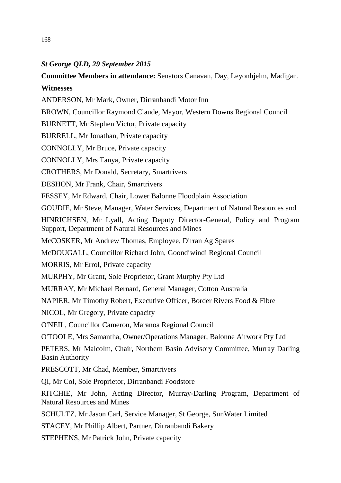#### *St George QLD, 29 September 2015*

**Committee Members in attendance:** Senators Canavan, Day, Leyonhjelm, Madigan. **Witnesses**

ANDERSON, Mr Mark, Owner, Dirranbandi Motor Inn

BROWN, Councillor Raymond Claude, Mayor, Western Downs Regional Council

BURNETT, Mr Stephen Victor, Private capacity

BURRELL, Mr Jonathan, Private capacity

CONNOLLY, Mr Bruce, Private capacity

CONNOLLY, Mrs Tanya, Private capacity

CROTHERS, Mr Donald, Secretary, Smartrivers

DESHON, Mr Frank, Chair, Smartrivers

FESSEY, Mr Edward, Chair, Lower Balonne Floodplain Association

GOUDIE, Mr Steve, Manager, Water Services, Department of Natural Resources and

HINRICHSEN, Mr Lyall, Acting Deputy Director-General, Policy and Program Support, Department of Natural Resources and Mines

McCOSKER, Mr Andrew Thomas, Employee, Dirran Ag Spares

McDOUGALL, Councillor Richard John, Goondiwindi Regional Council

MORRIS, Mr Errol, Private capacity

MURPHY, Mr Grant, Sole Proprietor, Grant Murphy Pty Ltd

MURRAY, Mr Michael Bernard, General Manager, Cotton Australia

NAPIER, Mr Timothy Robert, Executive Officer, Border Rivers Food & Fibre

NICOL, Mr Gregory, Private capacity

O'NEIL, Councillor Cameron, Maranoa Regional Council

O'TOOLE, Mrs Samantha, Owner/Operations Manager, Balonne Airwork Pty Ltd

PETERS, Mr Malcolm, Chair, Northern Basin Advisory Committee, Murray Darling Basin Authority

PRESCOTT, Mr Chad, Member, Smartrivers

QI, Mr Col, Sole Proprietor, Dirranbandi Foodstore

RITCHIE, Mr John, Acting Director, Murray-Darling Program, Department of Natural Resources and Mines

SCHULTZ, Mr Jason Carl, Service Manager, St George, SunWater Limited

STACEY, Mr Phillip Albert, Partner, Dirranbandi Bakery

STEPHENS, Mr Patrick John, Private capacity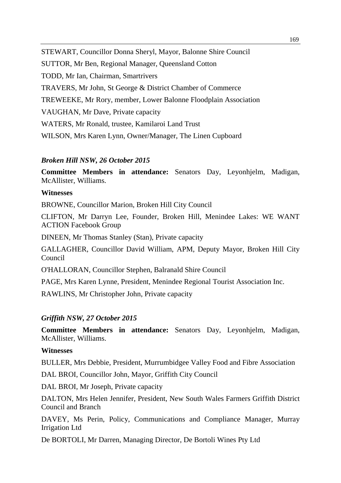STEWART, Councillor Donna Sheryl, Mayor, Balonne Shire Council SUTTOR, Mr Ben, Regional Manager, Queensland Cotton TODD, Mr Ian, Chairman, Smartrivers TRAVERS, Mr John, St George & District Chamber of Commerce TREWEEKE, Mr Rory, member, Lower Balonne Floodplain Association VAUGHAN, Mr Dave, Private capacity WATERS, Mr Ronald, trustee, Kamilaroi Land Trust WILSON, Mrs Karen Lynn, Owner/Manager, The Linen Cupboard

## *Broken Hill NSW, 26 October 2015*

**Committee Members in attendance:** Senators Day, Leyonhjelm, Madigan, McAllister, Williams.

## **Witnesses**

BROWNE, Councillor Marion, Broken Hill City Council

CLIFTON, Mr Darryn Lee, Founder, Broken Hill, Menindee Lakes: WE WANT ACTION Facebook Group

DINEEN, Mr Thomas Stanley (Stan), Private capacity

GALLAGHER, Councillor David William, APM, Deputy Mayor, Broken Hill City Council

O'HALLORAN, Councillor Stephen, Balranald Shire Council

PAGE, Mrs Karen Lynne, President, Menindee Regional Tourist Association Inc.

RAWLINS, Mr Christopher John, Private capacity

## *Griffith NSW, 27 October 2015*

**Committee Members in attendance:** Senators Day, Leyonhjelm, Madigan, McAllister, Williams.

## **Witnesses**

BULLER, Mrs Debbie, President, Murrumbidgee Valley Food and Fibre Association

DAL BROI, Councillor John, Mayor, Griffith City Council

DAL BROI, Mr Joseph, Private capacity

DALTON, Mrs Helen Jennifer, President, New South Wales Farmers Griffith District Council and Branch

DAVEY, Ms Perin, Policy, Communications and Compliance Manager, Murray Irrigation Ltd

De BORTOLI, Mr Darren, Managing Director, De Bortoli Wines Pty Ltd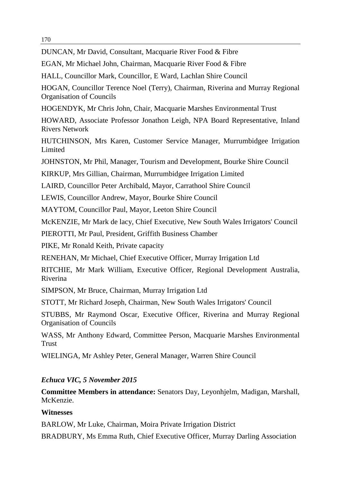#### 170

DUNCAN, Mr David, Consultant, Macquarie River Food & Fibre

EGAN, Mr Michael John, Chairman, Macquarie River Food & Fibre

HALL, Councillor Mark, Councillor, E Ward, Lachlan Shire Council

HOGAN, Councillor Terence Noel (Terry), Chairman, Riverina and Murray Regional Organisation of Councils

HOGENDYK, Mr Chris John, Chair, Macquarie Marshes Environmental Trust

HOWARD, Associate Professor Jonathon Leigh, NPA Board Representative, Inland Rivers Network

HUTCHINSON, Mrs Karen, Customer Service Manager, Murrumbidgee Irrigation **Limited** 

JOHNSTON, Mr Phil, Manager, Tourism and Development, Bourke Shire Council

KIRKUP, Mrs Gillian, Chairman, Murrumbidgee Irrigation Limited

LAIRD, Councillor Peter Archibald, Mayor, Carrathool Shire Council

LEWIS, Councillor Andrew, Mayor, Bourke Shire Council

MAYTOM, Councillor Paul, Mayor, Leeton Shire Council

McKENZIE, Mr Mark de lacy, Chief Executive, New South Wales Irrigators' Council

PIEROTTI, Mr Paul, President, Griffith Business Chamber

PIKE, Mr Ronald Keith, Private capacity

RENEHAN, Mr Michael, Chief Executive Officer, Murray Irrigation Ltd

RITCHIE, Mr Mark William, Executive Officer, Regional Development Australia, Riverina

SIMPSON, Mr Bruce, Chairman, Murray Irrigation Ltd

STOTT, Mr Richard Joseph, Chairman, New South Wales Irrigators' Council

STUBBS, Mr Raymond Oscar, Executive Officer, Riverina and Murray Regional Organisation of Councils

WASS, Mr Anthony Edward, Committee Person, Macquarie Marshes Environmental Trust

WIELINGA, Mr Ashley Peter, General Manager, Warren Shire Council

# *Echuca VIC, 5 November 2015*

**Committee Members in attendance:** Senators Day, Leyonhjelm, Madigan, Marshall, McKenzie.

# **Witnesses**

BARLOW, Mr Luke, Chairman, Moira Private Irrigation District

BRADBURY, Ms Emma Ruth, Chief Executive Officer, Murray Darling Association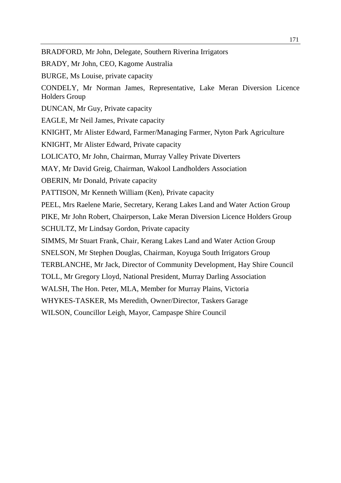BRADFORD, Mr John, Delegate, Southern Riverina Irrigators

BRADY, Mr John, CEO, Kagome Australia

BURGE, Ms Louise, private capacity

CONDELY, Mr Norman James, Representative, Lake Meran Diversion Licence Holders Group

DUNCAN, Mr Guy, Private capacity

EAGLE, Mr Neil James, Private capacity

KNIGHT, Mr Alister Edward, Farmer/Managing Farmer, Nyton Park Agriculture

KNIGHT, Mr Alister Edward, Private capacity

LOLICATO, Mr John, Chairman, Murray Valley Private Diverters

MAY, Mr David Greig, Chairman, Wakool Landholders Association

OBERIN, Mr Donald, Private capacity

PATTISON, Mr Kenneth William (Ken), Private capacity

PEEL, Mrs Raelene Marie, Secretary, Kerang Lakes Land and Water Action Group

PIKE, Mr John Robert, Chairperson, Lake Meran Diversion Licence Holders Group

SCHULTZ, Mr Lindsay Gordon, Private capacity

SIMMS, Mr Stuart Frank, Chair, Kerang Lakes Land and Water Action Group

SNELSON, Mr Stephen Douglas, Chairman, Koyuga South Irrigators Group

TERBLANCHE, Mr Jack, Director of Community Development, Hay Shire Council

TOLL, Mr Gregory Lloyd, National President, Murray Darling Association

WALSH, The Hon. Peter, MLA, Member for Murray Plains, Victoria

WHYKES-TASKER, Ms Meredith, Owner/Director, Taskers Garage

WILSON, Councillor Leigh, Mayor, Campaspe Shire Council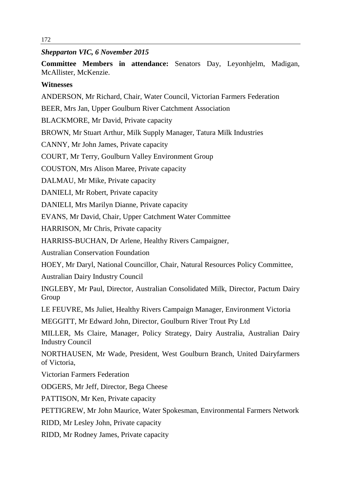## *Shepparton VIC, 6 November 2015*

**Committee Members in attendance:** Senators Day, Leyonhjelm, Madigan, McAllister, McKenzie.

## **Witnesses**

ANDERSON, Mr Richard, Chair, Water Council, Victorian Farmers Federation

BEER, Mrs Jan, Upper Goulburn River Catchment Association

BLACKMORE, Mr David, Private capacity

BROWN, Mr Stuart Arthur, Milk Supply Manager, Tatura Milk Industries

CANNY, Mr John James, Private capacity

COURT, Mr Terry, Goulburn Valley Environment Group

COUSTON, Mrs Alison Maree, Private capacity

DALMAU, Mr Mike, Private capacity

DANIELI, Mr Robert, Private capacity

DANIELI, Mrs Marilyn Dianne, Private capacity

EVANS, Mr David, Chair, Upper Catchment Water Committee

HARRISON, Mr Chris, Private capacity

HARRISS-BUCHAN, Dr Arlene, Healthy Rivers Campaigner,

Australian Conservation Foundation

HOEY, Mr Daryl, National Councillor, Chair, Natural Resources Policy Committee,

Australian Dairy Industry Council

INGLEBY, Mr Paul, Director, Australian Consolidated Milk, Director, Pactum Dairy Group

LE FEUVRE, Ms Juliet, Healthy Rivers Campaign Manager, Environment Victoria

MEGGITT, Mr Edward John, Director, Goulburn River Trout Pty Ltd

MILLER, Ms Claire, Manager, Policy Strategy, Dairy Australia, Australian Dairy Industry Council

NORTHAUSEN, Mr Wade, President, West Goulburn Branch, United Dairyfarmers of Victoria,

Victorian Farmers Federation

ODGERS, Mr Jeff, Director, Bega Cheese

PATTISON, Mr Ken, Private capacity

PETTIGREW, Mr John Maurice, Water Spokesman, Environmental Farmers Network

RIDD, Mr Lesley John, Private capacity

RIDD, Mr Rodney James, Private capacity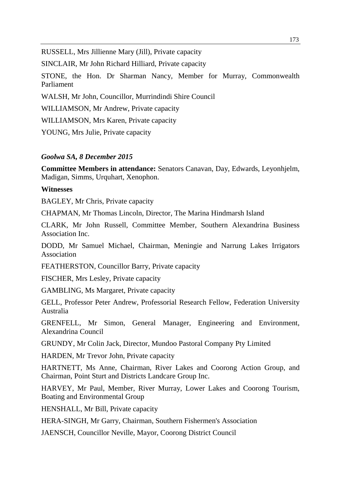RUSSELL, Mrs Jillienne Mary (Jill), Private capacity

SINCLAIR, Mr John Richard Hilliard, Private capacity

STONE, the Hon. Dr Sharman Nancy, Member for Murray, Commonwealth Parliament

WALSH, Mr John, Councillor, Murrindindi Shire Council

WILLIAMSON, Mr Andrew, Private capacity

WILLIAMSON, Mrs Karen, Private capacity

YOUNG, Mrs Julie, Private capacity

# *Goolwa SA, 8 December 2015*

**Committee Members in attendance:** Senators Canavan, Day, Edwards, Leyonhjelm, Madigan, Simms, Urquhart, Xenophon.

# **Witnesses**

BAGLEY, Mr Chris, Private capacity

CHAPMAN, Mr Thomas Lincoln, Director, The Marina Hindmarsh Island

CLARK, Mr John Russell, Committee Member, Southern Alexandrina Business Association Inc.

DODD, Mr Samuel Michael, Chairman, Meningie and Narrung Lakes Irrigators Association

FEATHERSTON, Councillor Barry, Private capacity

FISCHER, Mrs Lesley, Private capacity

GAMBLING, Ms Margaret, Private capacity

GELL, Professor Peter Andrew, Professorial Research Fellow, Federation University Australia

GRENFELL, Mr Simon, General Manager, Engineering and Environment, Alexandrina Council

GRUNDY, Mr Colin Jack, Director, Mundoo Pastoral Company Pty Limited

HARDEN, Mr Trevor John, Private capacity

HARTNETT, Ms Anne, Chairman, River Lakes and Coorong Action Group, and Chairman, Point Sturt and Districts Landcare Group Inc.

HARVEY, Mr Paul, Member, River Murray, Lower Lakes and Coorong Tourism, Boating and Environmental Group

HENSHALL, Mr Bill, Private capacity

HERA-SINGH, Mr Garry, Chairman, Southern Fishermen's Association

JAENSCH, Councillor Neville, Mayor, Coorong District Council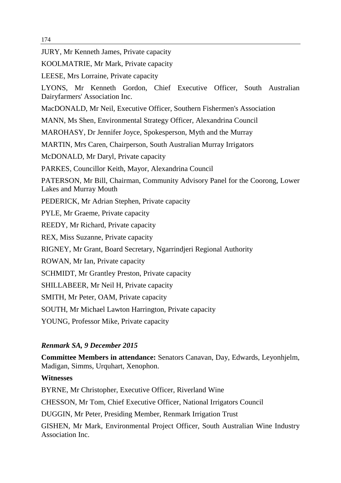JURY, Mr Kenneth James, Private capacity

KOOLMATRIE, Mr Mark, Private capacity

LEESE, Mrs Lorraine, Private capacity

LYONS, Mr Kenneth Gordon, Chief Executive Officer, South Australian Dairyfarmers' Association Inc.

MacDONALD, Mr Neil, Executive Officer, Southern Fishermen's Association

MANN, Ms Shen, Environmental Strategy Officer, Alexandrina Council

MAROHASY, Dr Jennifer Joyce, Spokesperson, Myth and the Murray

MARTIN, Mrs Caren, Chairperson, South Australian Murray Irrigators

McDONALD, Mr Daryl, Private capacity

PARKES, Councillor Keith, Mayor, Alexandrina Council

PATERSON, Mr Bill, Chairman, Community Advisory Panel for the Coorong, Lower Lakes and Murray Mouth

PEDERICK, Mr Adrian Stephen, Private capacity

PYLE, Mr Graeme, Private capacity

REEDY, Mr Richard, Private capacity

REX, Miss Suzanne, Private capacity

RIGNEY, Mr Grant, Board Secretary, Ngarrindjeri Regional Authority

ROWAN, Mr Ian, Private capacity

SCHMIDT, Mr Grantley Preston, Private capacity

SHILLABEER, Mr Neil H, Private capacity

SMITH, Mr Peter, OAM, Private capacity

SOUTH, Mr Michael Lawton Harrington, Private capacity

YOUNG, Professor Mike, Private capacity

## *Renmark SA, 9 December 2015*

**Committee Members in attendance:** Senators Canavan, Day, Edwards, Leyonhjelm, Madigan, Simms, Urquhart, Xenophon.

**Witnesses**

BYRNE, Mr Christopher, Executive Officer, Riverland Wine CHESSON, Mr Tom, Chief Executive Officer, National Irrigators Council DUGGIN, Mr Peter, Presiding Member, Renmark Irrigation Trust

GISHEN, Mr Mark, Environmental Project Officer, South Australian Wine Industry Association Inc.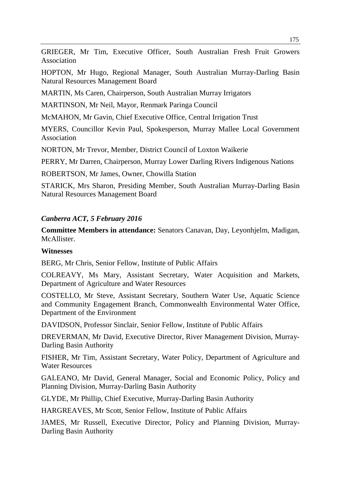GRIEGER, Mr Tim, Executive Officer, South Australian Fresh Fruit Growers Association

HOPTON, Mr Hugo, Regional Manager, South Australian Murray-Darling Basin Natural Resources Management Board

MARTIN, Ms Caren, Chairperson, South Australian Murray Irrigators

MARTINSON, Mr Neil, Mayor, Renmark Paringa Council

McMAHON, Mr Gavin, Chief Executive Office, Central Irrigation Trust

MYERS, Councillor Kevin Paul, Spokesperson, Murray Mallee Local Government Association

NORTON, Mr Trevor, Member, District Council of Loxton Waikerie

PERRY, Mr Darren, Chairperson, Murray Lower Darling Rivers Indigenous Nations

ROBERTSON, Mr James, Owner, Chowilla Station

STARICK, Mrs Sharon, Presiding Member, South Australian Murray-Darling Basin Natural Resources Management Board

# *Canberra ACT, 5 February 2016*

**Committee Members in attendance:** Senators Canavan, Day, Leyonhjelm, Madigan, McAllister.

# **Witnesses**

BERG, Mr Chris, Senior Fellow, Institute of Public Affairs

COLREAVY, Ms Mary, Assistant Secretary, Water Acquisition and Markets, Department of Agriculture and Water Resources

COSTELLO, Mr Steve, Assistant Secretary, Southern Water Use, Aquatic Science and Community Engagement Branch, Commonwealth Environmental Water Office, Department of the Environment

DAVIDSON, Professor Sinclair, Senior Fellow, Institute of Public Affairs

DREVERMAN, Mr David, Executive Director, River Management Division, Murray-Darling Basin Authority

FISHER, Mr Tim, Assistant Secretary, Water Policy, Department of Agriculture and Water Resources

GALEANO, Mr David, General Manager, Social and Economic Policy, Policy and Planning Division, Murray-Darling Basin Authority

GLYDE, Mr Phillip, Chief Executive, Murray-Darling Basin Authority

HARGREAVES, Mr Scott, Senior Fellow, Institute of Public Affairs

JAMES, Mr Russell, Executive Director, Policy and Planning Division, Murray-Darling Basin Authority